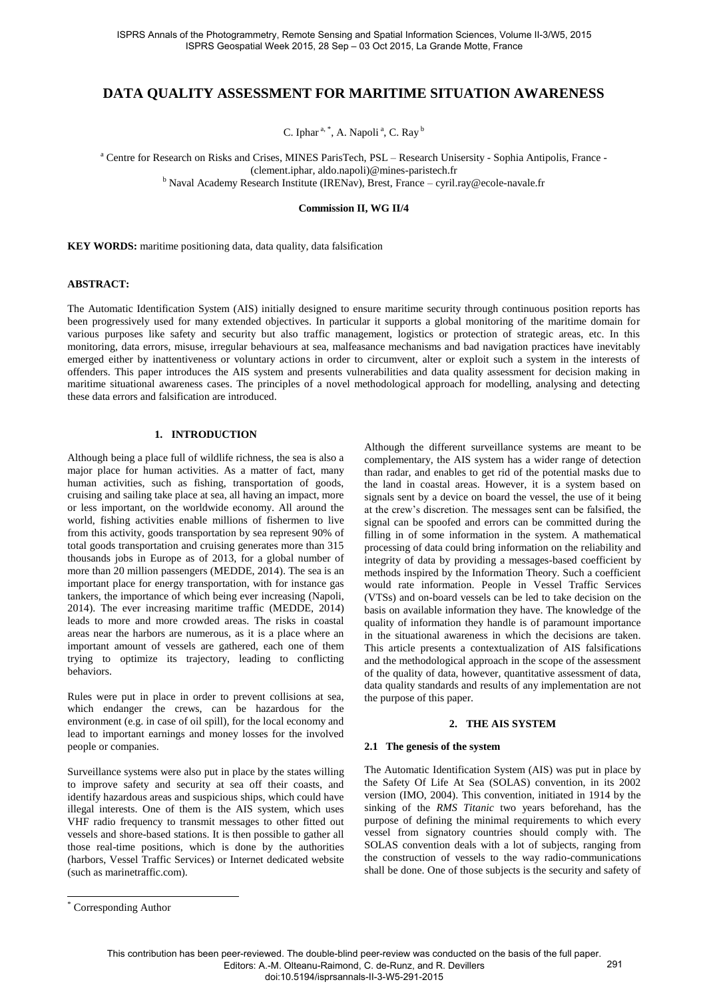# **DATA QUALITY ASSESSMENT FOR MARITIME SITUATION AWARENESS**

C. Iphar<sup>a, \*</sup>, A. Napoli<sup>a</sup>, C. Ray<sup>b</sup>

<sup>a</sup> Centre for Research on Risks and Crises, MINES ParisTech, PSL - Research Unisersity - Sophia Antipolis, France -(clement.iphar, aldo.napoli)@mines-paristech.fr <sup>b</sup> Naval Academy Research Institute (IRENav), Brest, France - cyril.ray@ecole-navale.fr

**Commission II, WG II/4**

**KEY WORDS:** maritime positioning data, data quality, data falsification

#### **ABSTRACT:**

The Automatic Identification System (AIS) initially designed to ensure maritime security through continuous position reports has been progressively used for many extended objectives. In particular it supports a global monitoring of the maritime domain for various purposes like safety and security but also traffic management, logistics or protection of strategic areas, etc. In this monitoring, data errors, misuse, irregular behaviours at sea, malfeasance mechanisms and bad navigation practices have inevitably emerged either by inattentiveness or voluntary actions in order to circumvent, alter or exploit such a system in the interests of offenders. This paper introduces the AIS system and presents vulnerabilities and data quality assessment for decision making in maritime situational awareness cases. The principles of a novel methodological approach for modelling, analysing and detecting these data errors and falsification are introduced.

#### **1. INTRODUCTION**

Although being a place full of wildlife richness, the sea is also a major place for human activities. As a matter of fact, many human activities, such as fishing, transportation of goods, cruising and sailing take place at sea, all having an impact, more or less important, on the worldwide economy. All around the world, fishing activities enable millions of fishermen to live from this activity, goods transportation by sea represent 90% of total goods transportation and cruising generates more than 315 thousands jobs in Europe as of 2013, for a global number of more than 20 million passengers (MEDDE, 2014). The sea is an important place for energy transportation, with for instance gas tankers, the importance of which being ever increasing (Napoli, 2014). The ever increasing maritime traffic (MEDDE, 2014) leads to more and more crowded areas. The risks in coastal areas near the harbors are numerous, as it is a place where an important amount of vessels are gathered, each one of them trying to optimize its trajectory, leading to conflicting behaviors.

Rules were put in place in order to prevent collisions at sea, which endanger the crews, can be hazardous for the environment (e.g. in case of oil spill), for the local economy and lead to important earnings and money losses for the involved people or companies.

Surveillance systems were also put in place by the states willing to improve safety and security at sea off their coasts, and identify hazardous areas and suspicious ships, which could have illegal interests. One of them is the AIS system, which uses VHF radio frequency to transmit messages to other fitted out vessels and shore-based stations. It is then possible to gather all those real-time positions, which is done by the authorities (harbors, Vessel Traffic Services) or Internet dedicated website (such as marinetraffic.com).

Although the different surveillance systems are meant to be complementary, the AIS system has a wider range of detection than radar, and enables to get rid of the potential masks due to the land in coastal areas. However, it is a system based on signals sent by a device on board the vessel, the use of it being at the crew's discretion. The messages sent can be falsified, the signal can be spoofed and errors can be committed during the filling in of some information in the system. A mathematical processing of data could bring information on the reliability and integrity of data by providing a messages-based coefficient by methods inspired by the Information Theory. Such a coefficient would rate information. People in Vessel Traffic Services (VTSs) and on-board vessels can be led to take decision on the basis on available information they have. The knowledge of the quality of information they handle is of paramount importance in the situational awareness in which the decisions are taken. This article presents a contextualization of AIS falsifications and the methodological approach in the scope of the assessment of the quality of data, however, quantitative assessment of data, data quality standards and results of any implementation are not the purpose of this paper.

### **2. THE AIS SYSTEM**

#### **2.1 The genesis of the system**

The Automatic Identification System (AIS) was put in place by the Safety Of Life At Sea (SOLAS) convention, in its 2002 version (IMO, 2004). This convention, initiated in 1914 by the sinking of the *RMS Titanic* two years beforehand, has the purpose of defining the minimal requirements to which every vessel from signatory countries should comply with. The SOLAS convention deals with a lot of subjects, ranging from the construction of vessels to the way radio-communications shall be done. One of those subjects is the security and safety of

 $\overline{a}$ 

Corresponding Author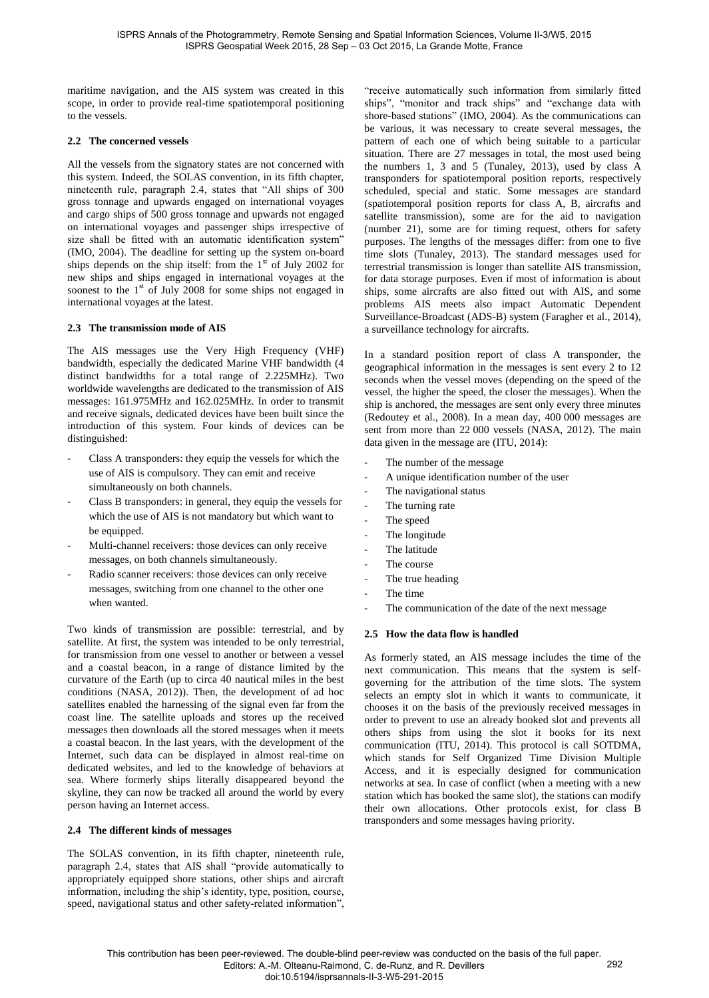maritime navigation, and the AIS system was created in this scope, in order to provide real-time spatiotemporal positioning to the vessels.

### **2.2 The concerned vessels**

All the vessels from the signatory states are not concerned with this system. Indeed, the SOLAS convention, in its fifth chapter, nineteenth rule, paragraph 2.4, states that "All ships of 300 gross tonnage and upwards engaged on international voyages and cargo ships of 500 gross tonnage and upwards not engaged on international voyages and passenger ships irrespective of size shall be fitted with an automatic identification system" (IMO, 2004). The deadline for setting up the system on-board ships depends on the ship itself: from the  $1<sup>st</sup>$  of July 2002 for new ships and ships engaged in international voyages at the soonest to the  $1<sup>st</sup>$  of July 2008 for some ships not engaged in international voyages at the latest.

#### **2.3 The transmission mode of AIS**

The AIS messages use the Very High Frequency (VHF) bandwidth, especially the dedicated Marine VHF bandwidth (4 distinct bandwidths for a total range of 2.225MHz). Two worldwide wavelengths are dedicated to the transmission of AIS messages: 161.975MHz and 162.025MHz. In order to transmit and receive signals, dedicated devices have been built since the introduction of this system. Four kinds of devices can be distinguished:

- Class A transponders: they equip the vessels for which the use of AIS is compulsory. They can emit and receive simultaneously on both channels.
- Class B transponders: in general, they equip the vessels for which the use of AIS is not mandatory but which want to be equipped.
- Multi-channel receivers: those devices can only receive messages, on both channels simultaneously.
- Radio scanner receivers: those devices can only receive messages, switching from one channel to the other one when wanted.

Two kinds of transmission are possible: terrestrial, and by satellite. At first, the system was intended to be only terrestrial, for transmission from one vessel to another or between a vessel and a coastal beacon, in a range of distance limited by the curvature of the Earth (up to circa 40 nautical miles in the best conditions (NASA, 2012)). Then, the development of ad hoc satellites enabled the harnessing of the signal even far from the coast line. The satellite uploads and stores up the received messages then downloads all the stored messages when it meets a coastal beacon. In the last years, with the development of the Internet, such data can be displayed in almost real-time on dedicated websites, and led to the knowledge of behaviors at sea. Where formerly ships literally disappeared beyond the skyline, they can now be tracked all around the world by every person having an Internet access.

#### **2.4 The different kinds of messages**

The SOLAS convention, in its fifth chapter, nineteenth rule, paragraph 2.4, states that AIS shall "provide automatically to appropriately equipped shore stations, other ships and aircraft information, including the ship's identity, type, position, course, speed, navigational status and other safety-related information",

"receive automatically such information from similarly fitted ships", "monitor and track ships" and "exchange data with shore-based stations" (IMO, 2004). As the communications can be various, it was necessary to create several messages, the pattern of each one of which being suitable to a particular situation. There are 27 messages in total, the most used being the numbers 1, 3 and 5 (Tunaley, 2013), used by class A transponders for spatiotemporal position reports, respectively scheduled, special and static. Some messages are standard (spatiotemporal position reports for class A, B, aircrafts and satellite transmission), some are for the aid to navigation (number 21), some are for timing request, others for safety purposes. The lengths of the messages differ: from one to five time slots (Tunaley, 2013). The standard messages used for terrestrial transmission is longer than satellite AIS transmission, for data storage purposes. Even if most of information is about ships, some aircrafts are also fitted out with AIS, and some problems AIS meets also impact Automatic Dependent Surveillance-Broadcast (ADS-B) system (Faragher et al., 2014), a surveillance technology for aircrafts.

In a standard position report of class A transponder, the geographical information in the messages is sent every 2 to 12 seconds when the vessel moves (depending on the speed of the vessel, the higher the speed, the closer the messages). When the ship is anchored, the messages are sent only every three minutes (Redoutey et al., 2008). In a mean day, 400 000 messages are sent from more than 22 000 vessels (NASA, 2012). The main data given in the message are (ITU, 2014):

- The number of the message
- A unique identification number of the user
- The navigational status
- The turning rate
- The speed
- The longitude
- The latitude
- The course
- The true heading
- The time
- The communication of the date of the next message

## **2.5 How the data flow is handled**

As formerly stated, an AIS message includes the time of the next communication. This means that the system is selfgoverning for the attribution of the time slots. The system selects an empty slot in which it wants to communicate, it chooses it on the basis of the previously received messages in order to prevent to use an already booked slot and prevents all others ships from using the slot it books for its next communication (ITU, 2014). This protocol is call SOTDMA, which stands for Self Organized Time Division Multiple Access, and it is especially designed for communication networks at sea. In case of conflict (when a meeting with a new station which has booked the same slot), the stations can modify their own allocations. Other protocols exist, for class B transponders and some messages having priority.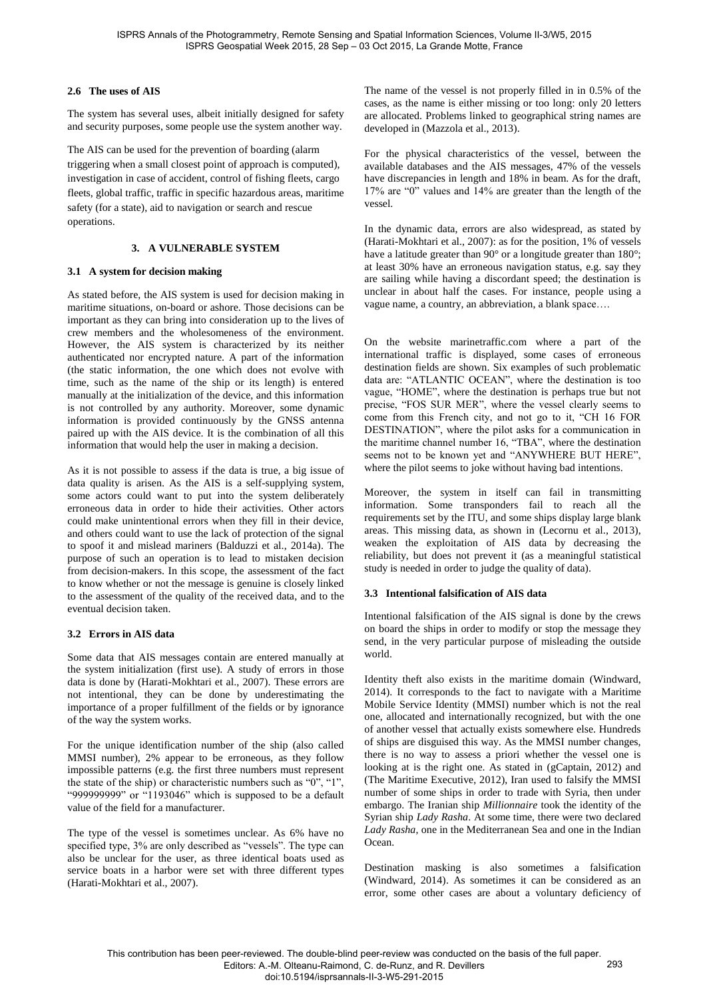## **2.6 The uses of AIS**

The system has several uses, albeit initially designed for safety and security purposes, some people use the system another way.

The AIS can be used for the prevention of boarding (alarm triggering when a small closest point of approach is computed), investigation in case of accident, control of fishing fleets, cargo fleets, global traffic, traffic in specific hazardous areas, maritime safety (for a state), aid to navigation or search and rescue operations.

# **3. A VULNERABLE SYSTEM**

## **3.1 A system for decision making**

As stated before, the AIS system is used for decision making in maritime situations, on-board or ashore. Those decisions can be important as they can bring into consideration up to the lives of crew members and the wholesomeness of the environment. However, the AIS system is characterized by its neither authenticated nor encrypted nature. A part of the information (the static information, the one which does not evolve with time, such as the name of the ship or its length) is entered manually at the initialization of the device, and this information is not controlled by any authority. Moreover, some dynamic information is provided continuously by the GNSS antenna paired up with the AIS device. It is the combination of all this information that would help the user in making a decision.

As it is not possible to assess if the data is true, a big issue of data quality is arisen. As the AIS is a self-supplying system, some actors could want to put into the system deliberately erroneous data in order to hide their activities. Other actors could make unintentional errors when they fill in their device, and others could want to use the lack of protection of the signal to spoof it and mislead mariners (Balduzzi et al., 2014a). The purpose of such an operation is to lead to mistaken decision from decision-makers. In this scope, the assessment of the fact to know whether or not the message is genuine is closely linked to the assessment of the quality of the received data, and to the eventual decision taken.

# **3.2 Errors in AIS data**

Some data that AIS messages contain are entered manually at the system initialization (first use). A study of errors in those data is done by (Harati-Mokhtari et al., 2007). These errors are not intentional, they can be done by underestimating the importance of a proper fulfillment of the fields or by ignorance of the way the system works.

For the unique identification number of the ship (also called MMSI number), 2% appear to be erroneous, as they follow impossible patterns (e.g. the first three numbers must represent the state of the ship) or characteristic numbers such as "0", "1", "999999999" or "1193046" which is supposed to be a default value of the field for a manufacturer.

The type of the vessel is sometimes unclear. As 6% have no specified type, 3% are only described as "vessels". The type can also be unclear for the user, as three identical boats used as service boats in a harbor were set with three different types (Harati-Mokhtari et al., 2007).

The name of the vessel is not properly filled in in 0.5% of the cases, as the name is either missing or too long: only 20 letters are allocated. Problems linked to geographical string names are developed in (Mazzola et al., 2013).

For the physical characteristics of the vessel, between the available databases and the AIS messages, 47% of the vessels have discrepancies in length and 18% in beam. As for the draft, 17% are "0" values and 14% are greater than the length of the vessel.

In the dynamic data, errors are also widespread, as stated by (Harati-Mokhtari et al., 2007): as for the position, 1% of vessels have a latitude greater than 90° or a longitude greater than 180°; at least 30% have an erroneous navigation status, e.g. say they are sailing while having a discordant speed; the destination is unclear in about half the cases. For instance, people using a vague name, a country, an abbreviation, a blank space….

On the website marinetraffic.com where a part of the international traffic is displayed, some cases of erroneous destination fields are shown. Six examples of such problematic data are: "ATLANTIC OCEAN", where the destination is too vague, "HOME", where the destination is perhaps true but not precise, "FOS SUR MER", where the vessel clearly seems to come from this French city, and not go to it, "CH 16 FOR DESTINATION", where the pilot asks for a communication in the maritime channel number 16, "TBA", where the destination seems not to be known yet and "ANYWHERE BUT HERE", where the pilot seems to joke without having bad intentions.

Moreover, the system in itself can fail in transmitting information. Some transponders fail to reach all the requirements set by the ITU, and some ships display large blank areas. This missing data, as shown in (Lecornu et al., 2013), weaken the exploitation of AIS data by decreasing the reliability, but does not prevent it (as a meaningful statistical study is needed in order to judge the quality of data).

## **3.3 Intentional falsification of AIS data**

Intentional falsification of the AIS signal is done by the crews on board the ships in order to modify or stop the message they send, in the very particular purpose of misleading the outside world.

Identity theft also exists in the maritime domain (Windward, 2014). It corresponds to the fact to navigate with a Maritime Mobile Service Identity (MMSI) number which is not the real one, allocated and internationally recognized, but with the one of another vessel that actually exists somewhere else. Hundreds of ships are disguised this way. As the MMSI number changes, there is no way to assess a priori whether the vessel one is looking at is the right one. As stated in (gCaptain, 2012) and (The Maritime Executive, 2012), Iran used to falsify the MMSI number of some ships in order to trade with Syria, then under embargo. The Iranian ship *Millionnaire* took the identity of the Syrian ship *Lady Rasha*. At some time, there were two declared *Lady Rasha*, one in the Mediterranean Sea and one in the Indian Ocean.

Destination masking is also sometimes a falsification (Windward, 2014). As sometimes it can be considered as an error, some other cases are about a voluntary deficiency of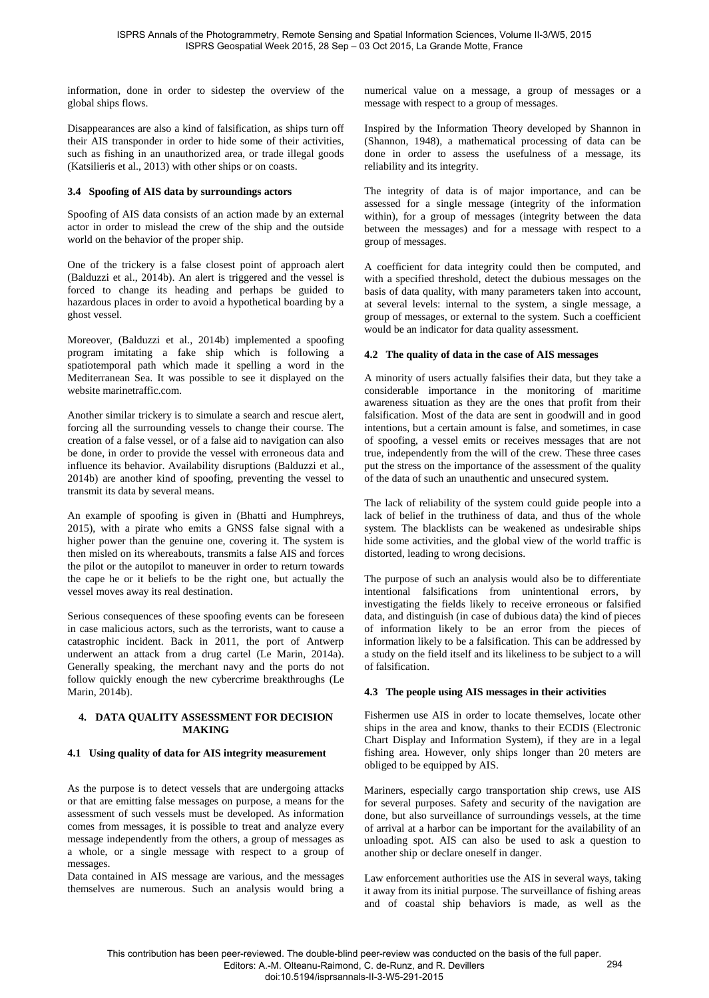information, done in order to sidestep the overview of the global ships flows.

Disappearances are also a kind of falsification, as ships turn off their AIS transponder in order to hide some of their activities, such as fishing in an unauthorized area, or trade illegal goods (Katsilieris et al., 2013) with other ships or on coasts.

#### **3.4 Spoofing of AIS data by surroundings actors**

Spoofing of AIS data consists of an action made by an external actor in order to mislead the crew of the ship and the outside world on the behavior of the proper ship.

One of the trickery is a false closest point of approach alert (Balduzzi et al., 2014b). An alert is triggered and the vessel is forced to change its heading and perhaps be guided to hazardous places in order to avoid a hypothetical boarding by a ghost vessel.

Moreover, (Balduzzi et al., 2014b) implemented a spoofing program imitating a fake ship which is following a spatiotemporal path which made it spelling a word in the Mediterranean Sea. It was possible to see it displayed on the website marinetraffic.com.

Another similar trickery is to simulate a search and rescue alert, forcing all the surrounding vessels to change their course. The creation of a false vessel, or of a false aid to navigation can also be done, in order to provide the vessel with erroneous data and influence its behavior. Availability disruptions (Balduzzi et al., 2014b) are another kind of spoofing, preventing the vessel to transmit its data by several means.

An example of spoofing is given in (Bhatti and Humphreys, 2015), with a pirate who emits a GNSS false signal with a higher power than the genuine one, covering it. The system is then misled on its whereabouts, transmits a false AIS and forces the pilot or the autopilot to maneuver in order to return towards the cape he or it beliefs to be the right one, but actually the vessel moves away its real destination.

Serious consequences of these spoofing events can be foreseen in case malicious actors, such as the terrorists, want to cause a catastrophic incident. Back in 2011, the port of Antwerp underwent an attack from a drug cartel (Le Marin, 2014a). Generally speaking, the merchant navy and the ports do not follow quickly enough the new cybercrime breakthroughs (Le Marin, 2014b).

## **4. DATA QUALITY ASSESSMENT FOR DECISION MAKING**

#### **4.1 Using quality of data for AIS integrity measurement**

As the purpose is to detect vessels that are undergoing attacks or that are emitting false messages on purpose, a means for the assessment of such vessels must be developed. As information comes from messages, it is possible to treat and analyze every message independently from the others, a group of messages as a whole, or a single message with respect to a group of messages.

Data contained in AIS message are various, and the messages themselves are numerous. Such an analysis would bring a numerical value on a message, a group of messages or a message with respect to a group of messages.

Inspired by the Information Theory developed by Shannon in (Shannon, 1948), a mathematical processing of data can be done in order to assess the usefulness of a message, its reliability and its integrity.

The integrity of data is of major importance, and can be assessed for a single message (integrity of the information within), for a group of messages (integrity between the data between the messages) and for a message with respect to a group of messages.

A coefficient for data integrity could then be computed, and with a specified threshold, detect the dubious messages on the basis of data quality, with many parameters taken into account, at several levels: internal to the system, a single message, a group of messages, or external to the system. Such a coefficient would be an indicator for data quality assessment.

#### **4.2 The quality of data in the case of AIS messages**

A minority of users actually falsifies their data, but they take a considerable importance in the monitoring of maritime awareness situation as they are the ones that profit from their falsification. Most of the data are sent in goodwill and in good intentions, but a certain amount is false, and sometimes, in case of spoofing, a vessel emits or receives messages that are not true, independently from the will of the crew. These three cases put the stress on the importance of the assessment of the quality of the data of such an unauthentic and unsecured system.

The lack of reliability of the system could guide people into a lack of belief in the truthiness of data, and thus of the whole system. The blacklists can be weakened as undesirable ships hide some activities, and the global view of the world traffic is distorted, leading to wrong decisions.

The purpose of such an analysis would also be to differentiate intentional falsifications from unintentional errors, by investigating the fields likely to receive erroneous or falsified data, and distinguish (in case of dubious data) the kind of pieces of information likely to be an error from the pieces of information likely to be a falsification. This can be addressed by a study on the field itself and its likeliness to be subject to a will of falsification.

#### **4.3 The people using AIS messages in their activities**

Fishermen use AIS in order to locate themselves, locate other ships in the area and know, thanks to their ECDIS (Electronic Chart Display and Information System), if they are in a legal fishing area. However, only ships longer than 20 meters are obliged to be equipped by AIS.

Mariners, especially cargo transportation ship crews, use AIS for several purposes. Safety and security of the navigation are done, but also surveillance of surroundings vessels, at the time of arrival at a harbor can be important for the availability of an unloading spot. AIS can also be used to ask a question to another ship or declare oneself in danger.

Law enforcement authorities use the AIS in several ways, taking it away from its initial purpose. The surveillance of fishing areas and of coastal ship behaviors is made, as well as the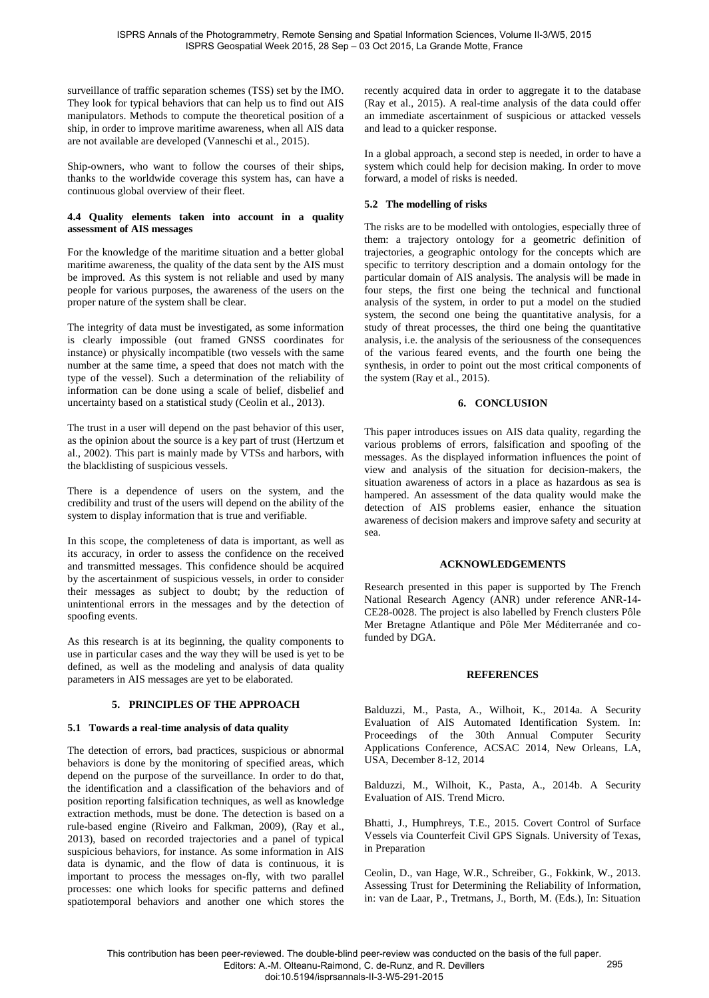surveillance of traffic separation schemes (TSS) set by the IMO. They look for typical behaviors that can help us to find out AIS manipulators. Methods to compute the theoretical position of a ship, in order to improve maritime awareness, when all AIS data are not available are developed (Vanneschi et al., 2015).

Ship-owners, who want to follow the courses of their ships, thanks to the worldwide coverage this system has, can have a continuous global overview of their fleet.

### **4.4 Quality elements taken into account in a quality assessment of AIS messages**

For the knowledge of the maritime situation and a better global maritime awareness, the quality of the data sent by the AIS must be improved. As this system is not reliable and used by many people for various purposes, the awareness of the users on the proper nature of the system shall be clear.

The integrity of data must be investigated, as some information is clearly impossible (out framed GNSS coordinates for instance) or physically incompatible (two vessels with the same number at the same time, a speed that does not match with the type of the vessel). Such a determination of the reliability of information can be done using a scale of belief, disbelief and uncertainty based on a statistical study (Ceolin et al., 2013).

The trust in a user will depend on the past behavior of this user, as the opinion about the source is a key part of trust (Hertzum et al., 2002). This part is mainly made by VTSs and harbors, with the blacklisting of suspicious vessels.

There is a dependence of users on the system, and the credibility and trust of the users will depend on the ability of the system to display information that is true and verifiable.

In this scope, the completeness of data is important, as well as its accuracy, in order to assess the confidence on the received and transmitted messages. This confidence should be acquired by the ascertainment of suspicious vessels, in order to consider their messages as subject to doubt; by the reduction of unintentional errors in the messages and by the detection of spoofing events.

As this research is at its beginning, the quality components to use in particular cases and the way they will be used is yet to be defined, as well as the modeling and analysis of data quality parameters in AIS messages are yet to be elaborated.

## **5. PRINCIPLES OF THE APPROACH**

#### **5.1 Towards a real-time analysis of data quality**

The detection of errors, bad practices, suspicious or abnormal behaviors is done by the monitoring of specified areas, which depend on the purpose of the surveillance. In order to do that, the identification and a classification of the behaviors and of position reporting falsification techniques, as well as knowledge extraction methods, must be done. The detection is based on a rule-based engine (Riveiro and Falkman, 2009), (Ray et al., 2013), based on recorded trajectories and a panel of typical suspicious behaviors, for instance. As some information in AIS data is dynamic, and the flow of data is continuous, it is important to process the messages on-fly, with two parallel processes: one which looks for specific patterns and defined spatiotemporal behaviors and another one which stores the

recently acquired data in order to aggregate it to the database (Ray et al., 2015). A real-time analysis of the data could offer an immediate ascertainment of suspicious or attacked vessels and lead to a quicker response.

In a global approach, a second step is needed, in order to have a system which could help for decision making. In order to move forward, a model of risks is needed.

# **5.2 The modelling of risks**

The risks are to be modelled with ontologies, especially three of them: a trajectory ontology for a geometric definition of trajectories, a geographic ontology for the concepts which are specific to territory description and a domain ontology for the particular domain of AIS analysis. The analysis will be made in four steps, the first one being the technical and functional analysis of the system, in order to put a model on the studied system, the second one being the quantitative analysis, for a study of threat processes, the third one being the quantitative analysis, i.e. the analysis of the seriousness of the consequences of the various feared events, and the fourth one being the synthesis, in order to point out the most critical components of the system (Ray et al., 2015).

## **6. CONCLUSION**

This paper introduces issues on AIS data quality, regarding the various problems of errors, falsification and spoofing of the messages. As the displayed information influences the point of view and analysis of the situation for decision-makers, the situation awareness of actors in a place as hazardous as sea is hampered. An assessment of the data quality would make the detection of AIS problems easier, enhance the situation awareness of decision makers and improve safety and security at sea.

#### **ACKNOWLEDGEMENTS**

Research presented in this paper is supported by The French National Research Agency (ANR) under reference ANR-14- CE28-0028. The project is also labelled by French clusters Pôle Mer Bretagne Atlantique and Pôle Mer Méditerranée and cofunded by DGA.

#### **REFERENCES**

Balduzzi, M., Pasta, A., Wilhoit, K., 2014a. A Security Evaluation of AIS Automated Identification System. In: Proceedings of the 30th Annual Computer Security Applications Conference, ACSAC 2014, New Orleans, LA, USA, December 8-12, 2014

Balduzzi, M., Wilhoit, K., Pasta, A., 2014b. A Security Evaluation of AIS. Trend Micro.

Bhatti, J., Humphreys, T.E., 2015. Covert Control of Surface Vessels via Counterfeit Civil GPS Signals. University of Texas, in Preparation

Ceolin, D., van Hage, W.R., Schreiber, G., Fokkink, W., 2013. Assessing Trust for Determining the Reliability of Information, in: van de Laar, P., Tretmans, J., Borth, M. (Eds.), In: Situation